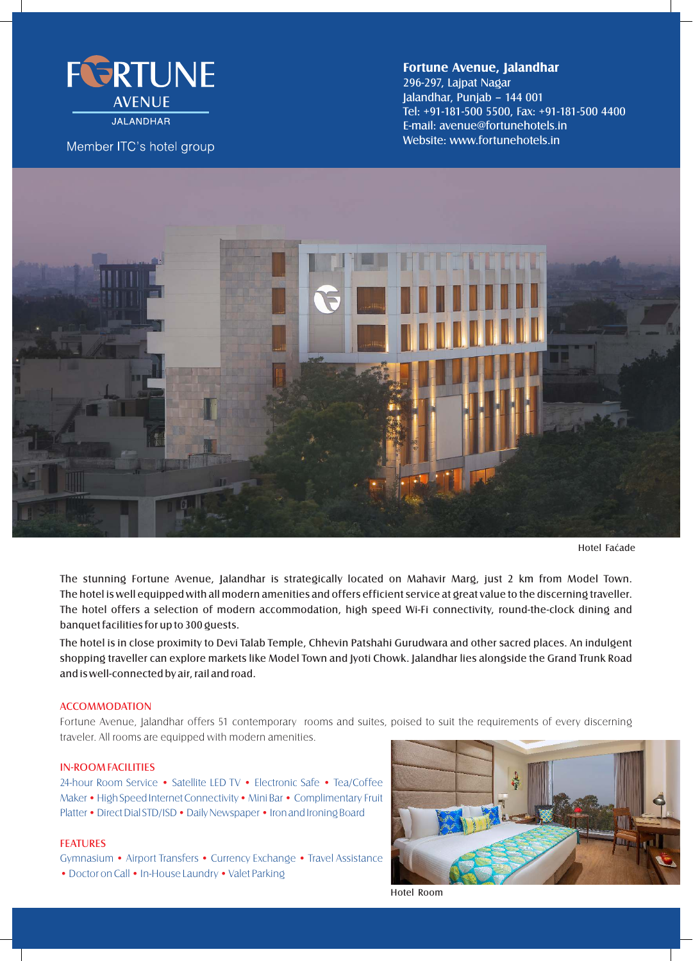

**JALANDHAR** 

Member ITC's hotel group

# **Fortune Avenue, Jalandhar**

296-297, Lajpat Nagar Jalandhar, Punjab – 144 001 Tel: +91-181-500 5500, Fax: +91-181-500 4400 E-mail: avenue@fortunehotels.in Website: www.fortunehotels.in



Hotel Faćade

The stunning Fortune Avenue, Jalandhar is strategically located on Mahavir Marg, just 2 km from Model Town. The hotel is well equipped with all modern amenities and offers efficient service at great value to the discerning traveller. The hotel offers a selection of modern accommodation, high speed Wi-Fi connectivity, round-the-clock dining and banquet facilities for up to 300 guests.

The hotel is in close proximity to Devi Talab Temple, Chhevin Patshahi Gurudwara and other sacred places. An indulgent shopping traveller can explore markets like Model Town and Jyoti Chowk. Jalandhar lies alongside the Grand Trunk Road and is well-connected by air, rail and road.

# **ACCOMMODATION**

Fortune Avenue, Jalandhar offers 51 contemporary rooms and suites, poised to suit the requirements of every discerning traveler. All rooms are equipped with modern amenities.

# IN-ROOM FACILITIES

24-hour Room Service • Satellite LED TV • Electronic Safe • Tea/Coffee Maker • High Speed Internet Connectivity • Mini Bar • Complimentary Fruit Platter • Direct Dial STD/ISD • Daily Newspaper • Iron and Ironing Board

#### FEATURES

Gymnasium • Airport Transfers • Currency Exchange • Travel Assistance • Doctor on Call • In-House Laundry • Valet Parking



Hotel Room